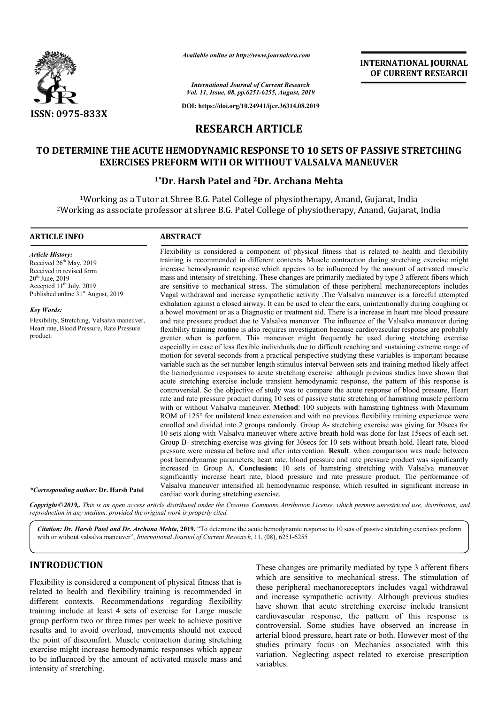

*Available online at http://www.journalcra.com*

**INTERNATIONAL JOURNAL OF CURRENT RESEARCH**

*International Journal of Current Research Vol. 11, Issue, 08, pp.6251-6255, August, 2019*

**DOI: https://doi.org/10.24941/ijcr.36314.08.2019**

# **RESEARCH ARTICLE**

## **TO DETERMINE THE ACUTE HEMODYNAMIC RESPONSE TO 10 SETS OF PASSIVE STRETCHING STRETCHING EXERCISES PREFORM WITH OR WITHOUT VALSALVA MANEUVER**

### <sup>1</sup>\*Dr. Harsh Patel and <sup>2</sup>Dr. Archana Mehta

1Working as a Tutor at Shree B.G. Patel College of physiotherapy, Anand, Gujarat, India <sup>1</sup>Working as a Tutor at Shree B.G. Patel College of physiotherapy, Anand, Gujarat, India<br>Working as associate professor at shree B.G. Patel College of physiotherapy, Anand, Gujarat, India<sup>2</sup>

#### **ARTICLE INFO ABSTRACT**

*Article History:* Received 26<sup>th</sup> May, 2019 Received in revised form 20<sup>th</sup> June, 2019 Accepted 11<sup>th</sup> July, 2019 Published online  $31<sup>st</sup>$  August, 2019

*Key Words:* Flexibility, Stretching, Valsalva maneuver, Heart rate, Blood Pressure, Rate Pressure product.

*\*Corresponding author:* **Dr. Harsh Patel**

Flexibility is considered a component of physical fitness that is related to health and flexibility training is recommended in different contexts. Muscle contraction during stretching exercise might increase hemodynamic response which appears to be influenced by the amount of activated muscle mass and intensity of stretching. These changes are primarily mediated by type 3 afferent are sensitive to mechanical stress. The stimulation of these peripheral mechanoreceptors includes Vagal withdrawal and increase sympathetic activity .The Valsalva maneuver is a forceful attempted exhalation against a closed airway. It can be used to clear the ears, unintentionally during coughing or a bowel movement or as a Diagnostic or treatment aid. There is a increase in heart rate blood pressure and rate pressure product due to Valsalva maneuver. The influence of the Valsalva maneuver during flexibility training routine is also requires investigation because cardiovascular response are probably greater when is perform. This maneuver might frequently be used during stretching exercise especially in case of less flexible individuals due to d difficult reaching and sustaining extreme range of motion for several seconds from a practical perspective studying these variables is important because variable such as the set number length stimulus interval between sets and training method likely affect the hemodynamic responses to acute stretching exercise .although previous studies have shown that acute stretching exercise include transient hemodynamic response, the pattern of this response is controversial. So the objective of study was to compare the acute response of blood pressure, Heart rate and rate pressure product during 10 sets of passive static stretching of hamstring muscle perform with or without Valsalva maneuver. Method: 100 subjects with hamstring tightness with Maximum ROM of 125° for unilateral knee extension and with no previous flexibility training experience were enrolled and divided into 2 groups randomly. Group A A- stretching exercise was giving for 30secs for 10 sets along with Valsalva maneuver where active breath hold was done for last 15secs of each set. Group B B- stretching exercise was giving for 30secs for 10 sets without breath hold. Heart rate, blood pressure were measured before and after intervention. **Result**: when comparison was made between post hemodynamic parameters, heart rate, blood pressure and rate pressure product was significantly increased in Group A. **Conclusion:** 10 sets of hamstring stretching with Valsalva maneuver significantly increase heart rate, blood pressure and rate pressure product. The performance of Valsalva maneuver intensified all hemodynamic response, which resulted in significant increase in cardiac work during stretching exercise. Flexibility is considered a component of physical fitness that is related to health and flexibility training is recommended in different contexts. Muscle contraction during stretching exercise might increase hemodynamic re are sensitive to mechanical stress. The stimulation of these peripheral mechanoreceptors includes<br>Vagal withdrawal and increase sympathetic activity .The Valsalva maneuver is a forceful attempted<br>exhalation against a close flexibility training routine is also requires investigation because cardiovascular response are probably greater when is perform. This maneuver might frequently be used during stetching exercise expecially in case of less **EXERNATIONAL JOURNAL FORMATIONAL JOURNAL CHEAN CONSUMER (CHEAN CHEAN CHEAN CHEAN CHEAN CHEAN CHEAN CHEAN CHEAN CHEAN CHEAN CHEAN CHEAN CHEAN CHEAN CHEAN CHEAN CHEAN CHEAN CHEAN CHEAN CHEAN CHEAN CHEAN CHEAN CHEAN CHEAN CH** 

Copyright©2019,. This is an open access article distributed under the Creative Commons Attribution License, which permits unrestricted use, distribution, and *reproduction in any medium, provided the original work is properly cited.*

Citation: Dr. Harsh Patel and Dr. Archana Mehta, 2019. "To determine the acute hemodynamic response to 10 sets of passive stretching exercises preform with or without valsalva maneuver", *International Journal of Current Research*, 11, (08), 6251-6255

## **INTRODUCTION**

Flexibility is considered a component of physical fitness that is related to health and flexibility training is recommended in different contexts. Recommendations regarding flexibility training include at least 4 sets of exercise for Large muscle group perform two or three times per week to achieve positive results and to avoid overload, movements should not exceed the point of discomfort. Muscle contraction during stretching exercise might increase hemodynamic responses which appear to be influenced by the amount of activated muscle mass and intensity of stretching.

Form These changes are primarily mediated by type 3 afferent fibers<br>
y is considered a component of physical fitness that is<br>
health and flexibility training is recommended in<br>
contexts. Recommendations regarding flexibili which are sensitive to mechanical stress. The stimulation of these peripheral mechanoreceptors includes vagal withdrawal and increase sympathetic activity. Although previous studies have shown that acute stretching exercise include transient cardiovascular response, the pattern of this response is controversial. Some studies have observed an increase in arterial blood pressure, heart rate or both. However most of the studies primary focus on Mechanics associated with this variation. Neglecting aspect related to exercise prescription variables. changes are primarily mediated by type 3 afferent fibers<br>are sensitive to mechanical stress. The stimulation of<br>peripheral mechanoreceptors includes vagal withdrawal<br>acrease sympathetic activity. Although previous studies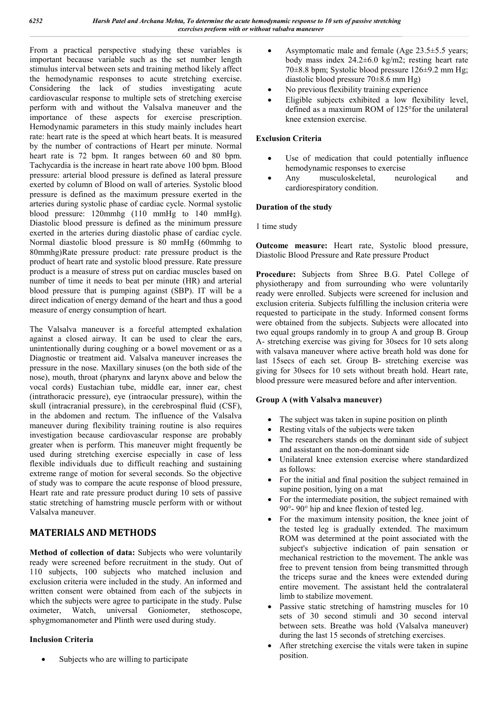From a practical perspective studying these variables is important because variable such as the set number length stimulus interval between sets and training method likely affect the hemodynamic responses to acute stretching exercise. Considering the lack of studies investigating acute cardiovascular response to multiple sets of stretching exercise perform with and without the Valsalva maneuver and the importance of these aspects for exercise prescription. Hemodynamic parameters in this study mainly includes heart rate: heart rate is the speed at which heart beats. It is measured by the number of contractions of Heart per minute. Normal heart rate is 72 bpm. It ranges between 60 and 80 bpm. Tachycardia is the increase in heart rate above 100 bpm. Blood pressure: arterial blood pressure is defined as lateral pressure exerted by column of Blood on wall of arteries. Systolic blood pressure is defined as the maximum pressure exerted in the arteries during systolic phase of cardiac cycle. Normal systolic blood pressure: 120mmhg (110 mmHg to 140 mmHg). Diastolic blood pressure is defined as the minimum pressure exerted in the arteries during diastolic phase of cardiac cycle. Normal diastolic blood pressure is 80 mmHg (60mmhg to 80mmhg)Rate pressure product: rate pressure product is the product of heart rate and systolic blood pressure. Rate pressure product is a measure of stress put on cardiac muscles based on number of time it needs to beat per minute (HR) and arterial blood pressure that is pumping against (SBP). IT will be a direct indication of energy demand of the heart and thus a good measure of energy consumption of heart.

The Valsalva maneuver is a forceful attempted exhalation against a closed airway. It can be used to clear the ears, unintentionally during coughing or a bowel movement or as a Diagnostic or treatment aid. Valsalva maneuver increases the pressure in the nose. Maxillary sinuses (on the both side of the nose), mouth, throat (pharynx and larynx above and below the vocal cords) Eustachian tube, middle ear, inner ear, chest (intrathoracic pressure), eye (intraocular pressure), within the skull (intracranial pressure), in the cerebrospinal fluid (CSF), in the abdomen and rectum. The influence of the Valsalva maneuver during flexibility training routine is also requires investigation because cardiovascular response are probably greater when is perform. This maneuver might frequently be used during stretching exercise especially in case of less flexible individuals due to difficult reaching and sustaining extreme range of motion for several seconds. So the objective of study was to compare the acute response of blood pressure, Heart rate and rate pressure product during 10 sets of passive static stretching of hamstring muscle perform with or without Valsalva maneuver.

## **MATERIALS AND METHODS**

**Method of collection of data:** Subjects who were voluntarily ready were screened before recruitment in the study. Out of 110 subjects, 100 subjects who matched inclusion and exclusion criteria were included in the study. An informed and written consent were obtained from each of the subjects in which the subjects were agree to participate in the study. Pulse oximeter, Watch, universal Goniometer, stethoscope, sphygmomanometer and Plinth were used during study.

## **Inclusion Criteria**

Subjects who are willing to participate

- Asymptomatic male and female (Age 23.5±5.5 years; body mass index 24.2±6.0 kg/m2; resting heart rate 70±8.8 bpm; Systolic blood pressure 126±9.2 mm Hg; diastolic blood pressure 70±8.6 mm Hg)
- No previous flexibility training experience
- Eligible subjects exhibited a low flexibility level, defined as a maximum ROM of 125°for the unilateral knee extension exercise.

## **Exclusion Criteria**

- Use of medication that could potentially influence hemodynamic responses to exercise
- Any musculoskeletal, neurological and cardiorespiratory condition.

### **Duration of the study**

1 time study

**Outcome measure:** Heart rate, Systolic blood pressure, Diastolic Blood Pressure and Rate pressure Product

**Procedure:** Subjects from Shree B.G. Patel College of physiotherapy and from surrounding who were voluntarily ready were enrolled. Subjects were screened for inclusion and exclusion criteria. Subjects fulfilling the inclusion criteria were requested to participate in the study. Informed consent forms were obtained from the subjects. Subjects were allocated into two equal groups randomly in to group A and group B. Group A- stretching exercise was giving for 30secs for 10 sets along with valsava maneuver where active breath hold was done for last 15secs of each set. Group B- stretching exercise was giving for 30secs for 10 sets without breath hold. Heart rate, blood pressure were measured before and after intervention.

### **Group A (with Valsalva maneuver)**

- The subject was taken in supine position on plinth
- Resting vitals of the subjects were taken
- The researchers stands on the dominant side of subject and assistant on the non-dominant side
- Unilateral knee extension exercise where standardized as follows:
- For the initial and final position the subject remained in supine position, lying on a mat
- For the intermediate position, the subject remained with 90°- 90° hip and knee flexion of tested leg.
- For the maximum intensity position, the knee joint of the tested leg is gradually extended. The maximum ROM was determined at the point associated with the subject's subjective indication of pain sensation or mechanical restriction to the movement. The ankle was free to prevent tension from being transmitted through the triceps surae and the knees were extended during entire movement. The assistant held the contralateral limb to stabilize movement.
- Passive static stretching of hamstring muscles for 10 sets of 30 second stimuli and 30 second interval between sets. Breathe was hold (Valsalva maneuver) during the last 15 seconds of stretching exercises.
- After stretching exercise the vitals were taken in supine position.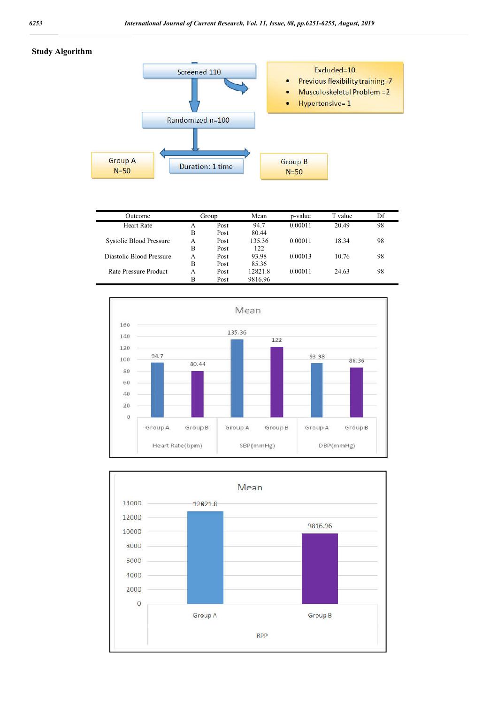#### **Study Algorithm**



| Outcome                  | Group |      | Mean    | p-value | T value | Df |
|--------------------------|-------|------|---------|---------|---------|----|
| <b>Heart Rate</b>        | A     | Post | 94.7    | 0.00011 | 20.49   | 98 |
|                          | B     | Post | 80.44   |         |         |    |
| Systolic Blood Pressure  | A     | Post | 135.36  | 0.00011 | 18.34   | 98 |
|                          | B     | Post | 122     |         |         |    |
| Diastolic Blood Pressure | A     | Post | 93.98   | 0.00013 | 10.76   | 98 |
|                          | В     | Post | 85.36   |         |         |    |
| Rate Pressure Product    | A     | Post | 12821.8 | 0.00011 | 24.63   | 98 |
|                          | B     | Post | 9816.96 |         |         |    |



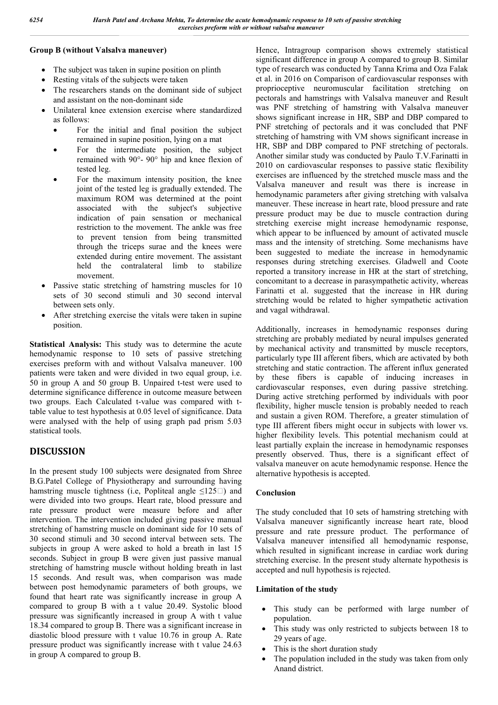#### **Group B (without Valsalva maneuver)**

- The subject was taken in supine position on plinth
- Resting vitals of the subjects were taken
- The researchers stands on the dominant side of subject and assistant on the non-dominant side
- Unilateral knee extension exercise where standardized as follows:
	- For the initial and final position the subject remained in supine position, lying on a mat
	- For the intermediate position, the subject remained with 90°- 90° hip and knee flexion of tested leg.
	- For the maximum intensity position, the knee joint of the tested leg is gradually extended. The maximum ROM was determined at the point associated with the subject's subjective indication of pain sensation or mechanical restriction to the movement. The ankle was free to prevent tension from being transmitted through the triceps surae and the knees were extended during entire movement. The assistant held the contralateral limb to stabilize movement.
- Passive static stretching of hamstring muscles for 10 sets of 30 second stimuli and 30 second interval between sets only.
- After stretching exercise the vitals were taken in supine position.

**Statistical Analysis:** This study was to determine the acute hemodynamic response to 10 sets of passive stretching exercises preform with and without Valsalva maneuver. 100 patients were taken and were divided in two equal group, i.e. 50 in group A and 50 group B. Unpaired t-test were used to determine significance difference in outcome measure between two groups. Each Calculated t-value was compared with ttable value to test hypothesis at 0.05 level of significance. Data were analysed with the help of using graph pad prism 5.03 statistical tools.

## **DISCUSSION**

In the present study 100 subjects were designated from Shree B.G.Patel College of Physiotherapy and surrounding having hamstring muscle tightness (i.e. Popliteal angle  $\leq 125$ ) and were divided into two groups. Heart rate, blood pressure and rate pressure product were measure before and after intervention. The intervention included giving passive manual stretching of hamstring muscle on dominant side for 10 sets of 30 second stimuli and 30 second interval between sets. The subjects in group A were asked to hold a breath in last 15 seconds. Subject in group B were given just passive manual stretching of hamstring muscle without holding breath in last 15 seconds. And result was, when comparison was made between post hemodynamic parameters of both groups, we found that heart rate was significantly increase in group A compared to group B with a t value 20.49. Systolic blood pressure was significantly increased in group A with t value 18.34 compared to group B. There was a significant increase in diastolic blood pressure with t value 10.76 in group A. Rate pressure product was significantly increase with t value 24.63 in group A compared to group B.

Hence, Intragroup comparison shows extremely statistical significant difference in group A compared to group B. Similar type of research was conducted by Tanna Krima and Oza Falak et al. in 2016 on Comparison of cardiovascular responses with proprioceptive neuromuscular facilitation stretching on pectorals and hamstrings with Valsalva maneuver and Result was PNF stretching of hamstring with Valsalva maneuver shows significant increase in HR, SBP and DBP compared to PNF stretching of pectorals and it was concluded that PNF stretching of hamstring with VM shows significant increase in HR, SBP and DBP compared to PNF stretching of pectorals. Another similar study was conducted by Paulo T.V.Farinatti in 2010 on cardiovascular responses to passive static flexibility exercises are influenced by the stretched muscle mass and the Valsalva maneuver and result was there is increase in hemodynamic parameters after giving stretching with valsalva maneuver. These increase in heart rate, blood pressure and rate pressure product may be due to muscle contraction during stretching exercise might increase hemodynamic response, which appear to be influenced by amount of activated muscle mass and the intensity of stretching. Some mechanisms have been suggested to mediate the increase in hemodynamic responses during stretching exercises. Gladwell and Coote reported a transitory increase in HR at the start of stretching, concomitant to a decrease in parasympathetic activity, whereas Farinatti et al. suggested that the increase in HR during stretching would be related to higher sympathetic activation and vagal withdrawal.

Additionally, increases in hemodynamic responses during stretching are probably mediated by neural impulses generated by mechanical activity and transmitted by muscle receptors, particularly type III afferent fibers, which are activated by both stretching and static contraction. The afferent influx generated by these fibers is capable of inducing increases in cardiovascular responses, even during passive stretching. During active stretching performed by individuals with poor flexibility, higher muscle tension is probably needed to reach and sustain a given ROM. Therefore, a greater stimulation of type III afferent fibers might occur in subjects with lower vs. higher flexibility levels. This potential mechanism could at least partially explain the increase in hemodynamic responses presently observed. Thus, there is a significant effect of valsalva maneuver on acute hemodynamic response. Hence the alternative hypothesis is accepted.

### **Conclusion**

The study concluded that 10 sets of hamstring stretching with Valsalva maneuver significantly increase heart rate, blood pressure and rate pressure product. The performance of Valsalva maneuver intensified all hemodynamic response, which resulted in significant increase in cardiac work during stretching exercise. In the present study alternate hypothesis is accepted and null hypothesis is rejected.

### **Limitation of the study**

- This study can be performed with large number of population.
- This study was only restricted to subjects between 18 to 29 years of age.
- This is the short duration study
- The population included in the study was taken from only Anand district.